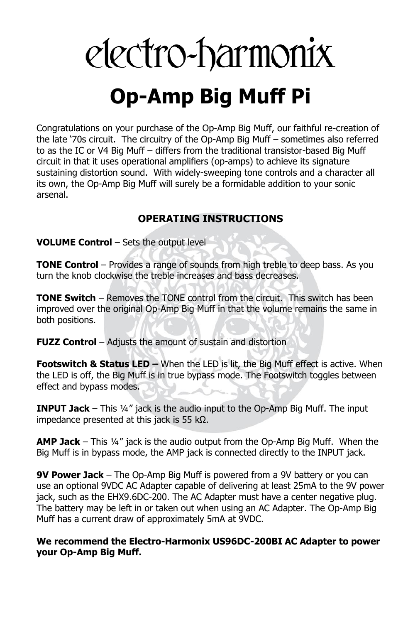# electro-harmonix **Op-Amp Big Muff Pi**

Congratulations on your purchase of the Op-Amp Big Muff, our faithful re-creation of the late '70s circuit. The circuitry of the Op-Amp Big Muff – sometimes also referred to as the IC or V4 Big Muff – differs from the traditional transistor-based Big Muff circuit in that it uses operational amplifiers (op-amps) to achieve its signature sustaining distortion sound. With widely-sweeping tone controls and a character all its own, the Op-Amp Big Muff will surely be a formidable addition to your sonic arsenal.

## **OPERATING INSTRUCTIONS**

**VOLUME Control** – Sets the output level

**TONE Control** – Provides a range of sounds from high treble to deep bass. As you turn the knob clockwise the treble increases and bass decreases.

**TONE Switch** – Removes the TONE control from the circuit. This switch has been improved over the original Op-Amp Big Muff in that the volume remains the same in both positions.

**FUZZ Control** – Adjusts the amount of sustain and distortion

**Footswitch & Status LED –** When the LED is lit, the Big Muff effect is active. When the LED is off, the Big Muff is in true bypass mode. The Footswitch toggles between effect and bypass modes.

**INPUT Jack** – This ¼" jack is the audio input to the Op-Amp Big Muff. The input impedance presented at this jack is 55 kΩ.

**AMP Jack** – This ¼" jack is the audio output from the Op-Amp Big Muff. When the Big Muff is in bypass mode, the AMP jack is connected directly to the INPUT jack.

**9V Power Jack** – The Op-Amp Big Muff is powered from a 9V battery or you can use an optional 9VDC AC Adapter capable of delivering at least 25mA to the 9V power jack, such as the EHX9.6DC-200. The AC Adapter must have a center negative plug. The battery may be left in or taken out when using an AC Adapter. The Op-Amp Big Muff has a current draw of approximately 5mA at 9VDC.

**We recommend the Electro-Harmonix US96DC-200BI AC Adapter to power your Op-Amp Big Muff.**